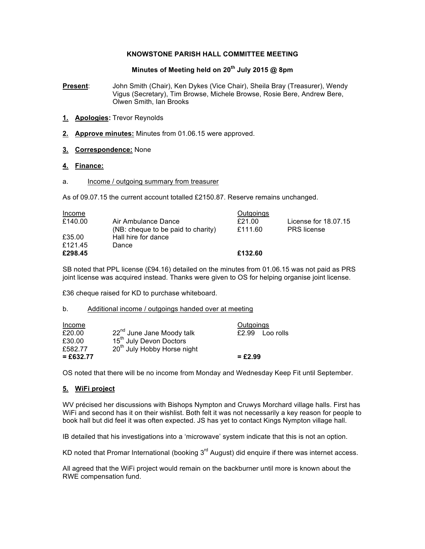### **KNOWSTONE PARISH HALL COMMITTEE MEETING**

# **Minutes of Meeting held on 20th July 2015 @ 8pm**

**Present**: John Smith (Chair), Ken Dykes (Vice Chair), Sheila Bray (Treasurer), Wendy Vigus (Secretary), Tim Browse, Michele Browse, Rosie Bere, Andrew Bere, Olwen Smith, Ian Brooks

- **1. Apologies:** Trevor Reynolds
- **2. Approve minutes:** Minutes from 01.06.15 were approved.
- **3. Correspondence:** None

### **4. Finance:**

a. Income / outgoing summary from treasurer

As of 09.07.15 the current account totalled £2150.87. Reserve remains unchanged.

| Income  |                                                           | Outgoings         |                                            |
|---------|-----------------------------------------------------------|-------------------|--------------------------------------------|
| £140.00 | Air Ambulance Dance<br>(NB: cheque to be paid to charity) | £21.00<br>£111.60 | License for 18.07.15<br><b>PRS</b> license |
| £35.00  | Hall hire for dance                                       |                   |                                            |
| £121.45 | Dance                                                     |                   |                                            |
| £298.45 |                                                           | £132.60           |                                            |

SB noted that PPL license (£94.16) detailed on the minutes from 01.06.15 was not paid as PRS joint license was acquired instead. Thanks were given to OS for helping organise joint license.

£36 cheque raised for KD to purchase whiteboard.

#### b. Additional income / outgoings handed over at meeting

| Income      |                                         | Outgoings         |  |
|-------------|-----------------------------------------|-------------------|--|
| £20.00      | 22 <sup>nd</sup> June Jane Moody talk   | $£2.99$ Loo rolls |  |
| £30.00      | 15 <sup>th</sup> July Devon Doctors     |                   |  |
| £582.77     | 20 <sup>th</sup> July Hobby Horse night |                   |  |
| $= £632.77$ |                                         | $= £2.99$         |  |

OS noted that there will be no income from Monday and Wednesday Keep Fit until September.

# **5. WiFi project**

WV précised her discussions with Bishops Nympton and Cruwys Morchard village halls. First has WiFi and second has it on their wishlist. Both felt it was not necessarily a key reason for people to book hall but did feel it was often expected. JS has yet to contact Kings Nympton village hall.

IB detailed that his investigations into a 'microwave' system indicate that this is not an option.

KD noted that Promar International (booking  $3<sup>rd</sup>$  August) did enquire if there was internet access.

All agreed that the WiFi project would remain on the backburner until more is known about the RWE compensation fund.